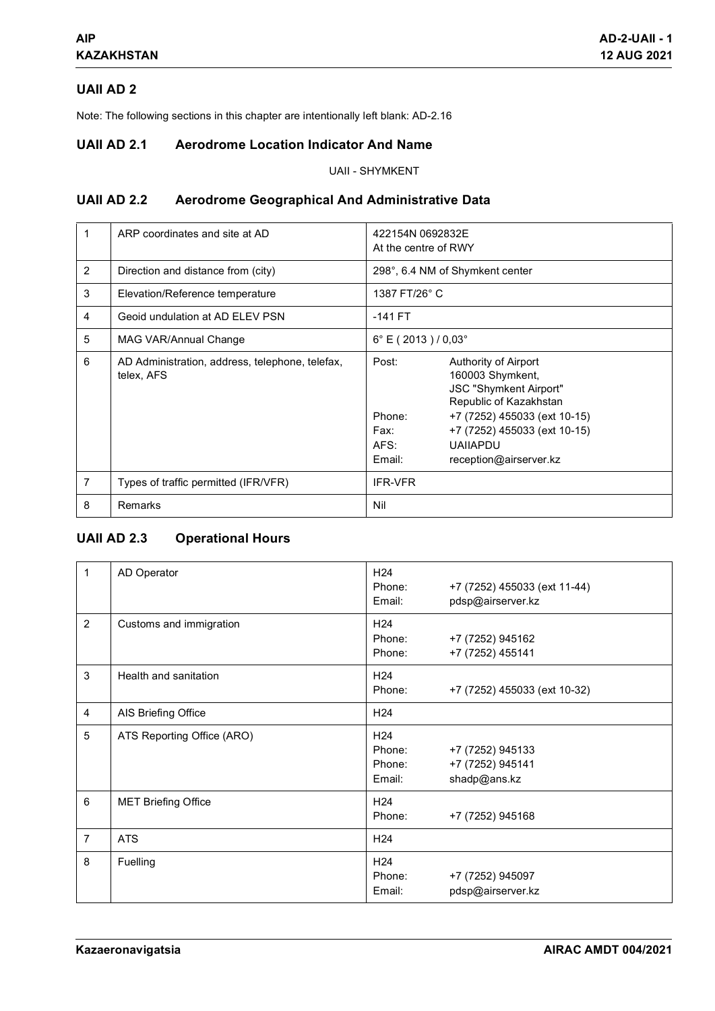# **UAII AD 2**

Note: The following sections in this chapter are intentionally left blank: AD-2.16

## **UAII AD 2.1 Aerodrome Location Indicator And Name**

UAII - SHYMKENT

## **UAII AD 2.2 Aerodrome Geographical And Administrative Data**

|   | ARP coordinates and site at AD                                | 422154N 0692832E<br>At the centre of RWY                     |                                                                                                                                                                                        |
|---|---------------------------------------------------------------|--------------------------------------------------------------|----------------------------------------------------------------------------------------------------------------------------------------------------------------------------------------|
| 2 | Direction and distance from (city)                            | 298°, 6.4 NM of Shymkent center                              |                                                                                                                                                                                        |
| 3 | Elevation/Reference temperature                               | 1387 FT/26° C                                                |                                                                                                                                                                                        |
| 4 | Geoid undulation at AD ELEV PSN                               | $-141$ FT                                                    |                                                                                                                                                                                        |
| 5 | MAG VAR/Annual Change                                         | $6^{\circ}$ E (2013) / 0,03 $^{\circ}$                       |                                                                                                                                                                                        |
| 6 | AD Administration, address, telephone, telefax,<br>telex, AFS | Post:<br>Phone:<br>Fax:<br>AFS:<br><b>UAIIAPDU</b><br>Email: | Authority of Airport<br>160003 Shymkent,<br>JSC "Shymkent Airport"<br>Republic of Kazakhstan<br>+7 (7252) 455033 (ext 10-15)<br>+7 (7252) 455033 (ext 10-15)<br>reception@airserver.kz |
| 7 | Types of traffic permitted (IFR/VFR)                          | <b>IFR-VFR</b>                                               |                                                                                                                                                                                        |
| 8 | <b>Remarks</b>                                                | Nil                                                          |                                                                                                                                                                                        |

# **UAII AD 2.3 Operational Hours**

| 1              | AD Operator                | H <sub>24</sub><br>Phone:<br>Email:           | +7 (7252) 455033 (ext 11-44)<br>pdsp@airserver.kz    |
|----------------|----------------------------|-----------------------------------------------|------------------------------------------------------|
| $\overline{2}$ | Customs and immigration    | H <sub>24</sub><br>Phone:<br>Phone:           | +7 (7252) 945162<br>+7 (7252) 455141                 |
| 3              | Health and sanitation      | H <sub>24</sub><br>Phone:                     | +7 (7252) 455033 (ext 10-32)                         |
| 4              | AIS Briefing Office        | H <sub>24</sub>                               |                                                      |
| 5              | ATS Reporting Office (ARO) | H <sub>24</sub><br>Phone:<br>Phone:<br>Email: | +7 (7252) 945133<br>+7 (7252) 945141<br>shadp@ans.kz |
| 6              | <b>MET Briefing Office</b> | H <sub>24</sub><br>Phone:                     | +7 (7252) 945168                                     |
| $\overline{7}$ | <b>ATS</b>                 | H <sub>24</sub>                               |                                                      |
| 8              | Fuelling                   | H <sub>24</sub><br>Phone:<br>Email:           | +7 (7252) 945097<br>pdsp@airserver.kz                |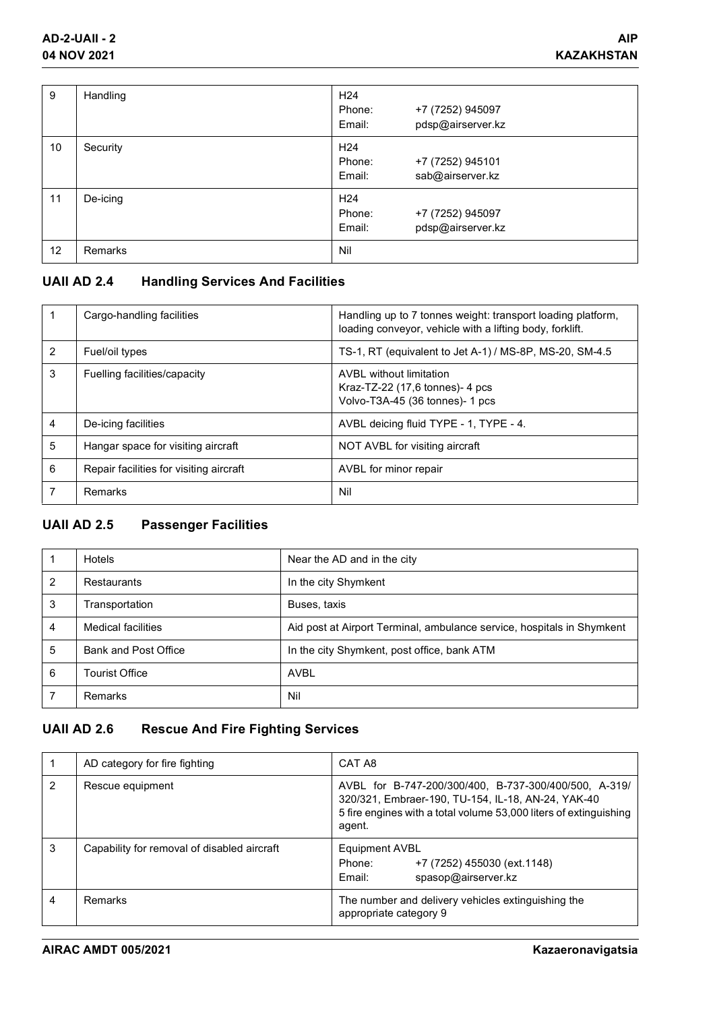| 9  | Handling | H <sub>24</sub><br>+7 (7252) 945097<br>Phone:<br>pdsp@airserver.kz<br>Email: |
|----|----------|------------------------------------------------------------------------------|
| 10 | Security | H <sub>24</sub><br>+7 (7252) 945101<br>Phone:<br>sab@airserver.kz<br>Email:  |
| 11 | De-icing | H <sub>24</sub><br>Phone:<br>+7 (7252) 945097<br>pdsp@airserver.kz<br>Email: |
| 12 | Remarks  | Nil                                                                          |

# **UAII AD 2.4 Handling Services And Facilities**

|                | Cargo-handling facilities               | Handling up to 7 tonnes weight: transport loading platform,<br>loading conveyor, vehicle with a lifting body, forklift. |
|----------------|-----------------------------------------|-------------------------------------------------------------------------------------------------------------------------|
| $\overline{2}$ | Fuel/oil types                          | TS-1, RT (equivalent to Jet A-1) / MS-8P, MS-20, SM-4.5                                                                 |
| 3              | Fuelling facilities/capacity            | AVBL without limitation<br>Kraz-TZ-22 $(17,6 \text{ tonnes})$ - 4 pcs<br>Volvo-T3A-45 (36 tonnes)- 1 pcs                |
| 4              | De-icing facilities                     | AVBL deicing fluid TYPE - 1, TYPE - 4.                                                                                  |
| 5              | Hangar space for visiting aircraft      | NOT AVBL for visiting aircraft                                                                                          |
| 6              | Repair facilities for visiting aircraft | AVBL for minor repair                                                                                                   |
|                | Remarks                                 | Nil                                                                                                                     |

# **UAII AD 2.5 Passenger Facilities**

|   | <b>Hotels</b>             | Near the AD and in the city                                            |
|---|---------------------------|------------------------------------------------------------------------|
| 2 | Restaurants               | In the city Shymkent                                                   |
| 3 | Transportation            | Buses, taxis                                                           |
| 4 | <b>Medical facilities</b> | Aid post at Airport Terminal, ambulance service, hospitals in Shymkent |
| 5 | Bank and Post Office      | In the city Shymkent, post office, bank ATM                            |
| 6 | Tourist Office            | <b>AVBL</b>                                                            |
|   | <b>Remarks</b>            | Nil                                                                    |

# **UAII AD 2.6 Rescue And Fire Fighting Services**

|   | AD category for fire fighting               | CAT A8                                                                                                                                                                                     |
|---|---------------------------------------------|--------------------------------------------------------------------------------------------------------------------------------------------------------------------------------------------|
| 2 | Rescue equipment                            | AVBL for B-747-200/300/400, B-737-300/400/500, A-319/<br>320/321, Embraer-190, TU-154, IL-18, AN-24, YAK-40<br>5 fire engines with a total volume 53,000 liters of extinguishing<br>agent. |
| 3 | Capability for removal of disabled aircraft | <b>Equipment AVBL</b><br>+7 (7252) 455030 (ext.1148)<br>Phone:<br>spasop@airserver.kz<br>Email:                                                                                            |
| 4 | <b>Remarks</b>                              | The number and delivery vehicles extinguishing the<br>appropriate category 9                                                                                                               |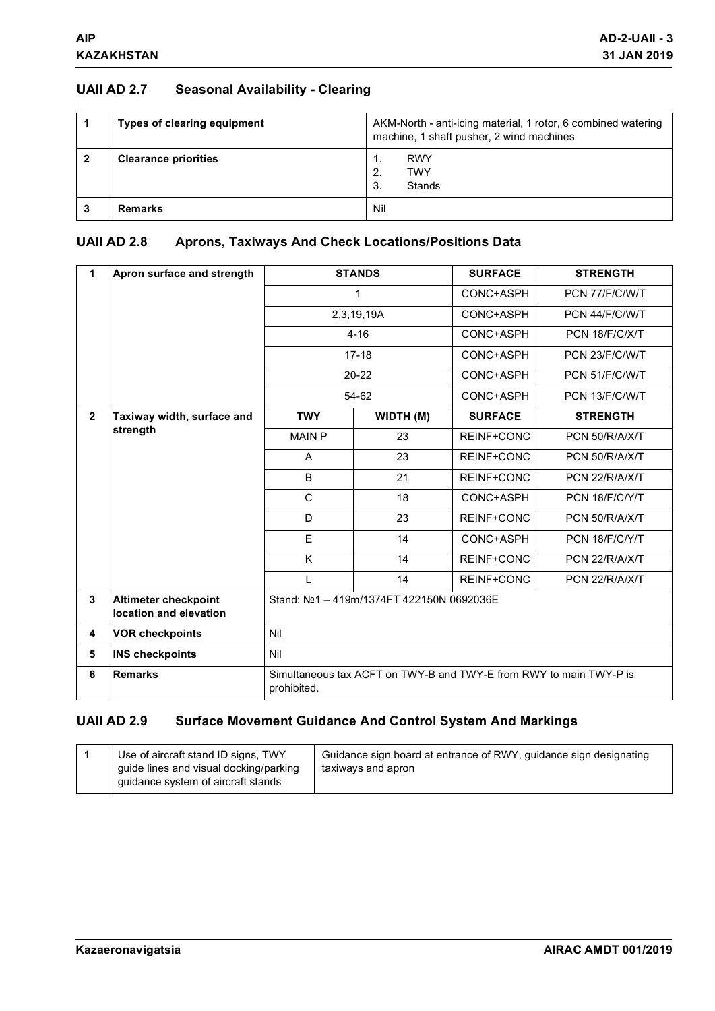## **UAII AD 2.7 Seasonal Availability - Clearing**

| <b>Types of clearing equipment</b> | AKM-North - anti-icing material, 1 rotor, 6 combined watering<br>machine, 1 shaft pusher, 2 wind machines |  |
|------------------------------------|-----------------------------------------------------------------------------------------------------------|--|
| <b>Clearance priorities</b>        | <b>RWY</b><br><b>TWY</b><br>2.<br>Stands<br>3.                                                            |  |
| <b>Remarks</b>                     | Nil                                                                                                       |  |

## **UAII AD 2.8 Aprons, Taxiways And Check Locations/Positions Data**

| 1              | Apron surface and strength                            | <b>STANDS</b>                                                                     |            | <b>SURFACE</b>    | <b>STRENGTH</b> |
|----------------|-------------------------------------------------------|-----------------------------------------------------------------------------------|------------|-------------------|-----------------|
|                |                                                       |                                                                                   | 1          |                   | PCN 77/F/C/W/T  |
|                |                                                       |                                                                                   | 2,3,19,19A |                   | PCN 44/F/C/W/T  |
|                |                                                       |                                                                                   | $4 - 16$   |                   | PCN 18/F/C/X/T  |
|                |                                                       | $17 - 18$                                                                         |            | CONC+ASPH         | PCN 23/F/C/W/T  |
|                |                                                       | $20 - 22$                                                                         |            | CONC+ASPH         | PCN 51/F/C/W/T  |
|                |                                                       |                                                                                   | 54-62      |                   | PCN 13/F/C/W/T  |
| $\overline{2}$ | Taxiway width, surface and                            | <b>TWY</b>                                                                        | WIDTH (M)  | <b>SURFACE</b>    | <b>STRENGTH</b> |
|                | strength                                              | <b>MAIN P</b>                                                                     | 23         | REINF+CONC        | PCN 50/R/A/X/T  |
|                |                                                       | A                                                                                 | 23         | REINF+CONC        | PCN 50/R/A/X/T  |
|                |                                                       | B                                                                                 | 21         | REINF+CONC        | PCN 22/R/A/X/T  |
|                |                                                       | $\mathsf{C}$                                                                      | 18         | CONC+ASPH         | PCN 18/F/C/Y/T  |
|                |                                                       | D                                                                                 | 23         | REINF+CONC        | PCN 50/R/A/X/T  |
|                |                                                       | Е                                                                                 | 14         | CONC+ASPH         | PCN 18/F/C/Y/T  |
|                |                                                       | K                                                                                 | 14         | REINF+CONC        | PCN 22/R/A/X/T  |
|                |                                                       | L                                                                                 | 14         | <b>REINF+CONC</b> | PCN 22/R/A/X/T  |
| 3              | <b>Altimeter checkpoint</b><br>location and elevation | Stand: Nº1 - 419m/1374FT 422150N 0692036E                                         |            |                   |                 |
| 4              | <b>VOR checkpoints</b>                                | Nil                                                                               |            |                   |                 |
| 5              | <b>INS checkpoints</b>                                | Nil                                                                               |            |                   |                 |
| 6              | <b>Remarks</b>                                        | Simultaneous tax ACFT on TWY-B and TWY-E from RWY to main TWY-P is<br>prohibited. |            |                   |                 |

# **UAII AD 2.9 Surface Movement Guidance And Control System And Markings**

|  | Use of aircraft stand ID signs, TWY<br>guide lines and visual docking/parking<br>guidance system of aircraft stands | Guidance sign board at entrance of RWY, quidance sign designating<br>taxiways and apron |
|--|---------------------------------------------------------------------------------------------------------------------|-----------------------------------------------------------------------------------------|
|--|---------------------------------------------------------------------------------------------------------------------|-----------------------------------------------------------------------------------------|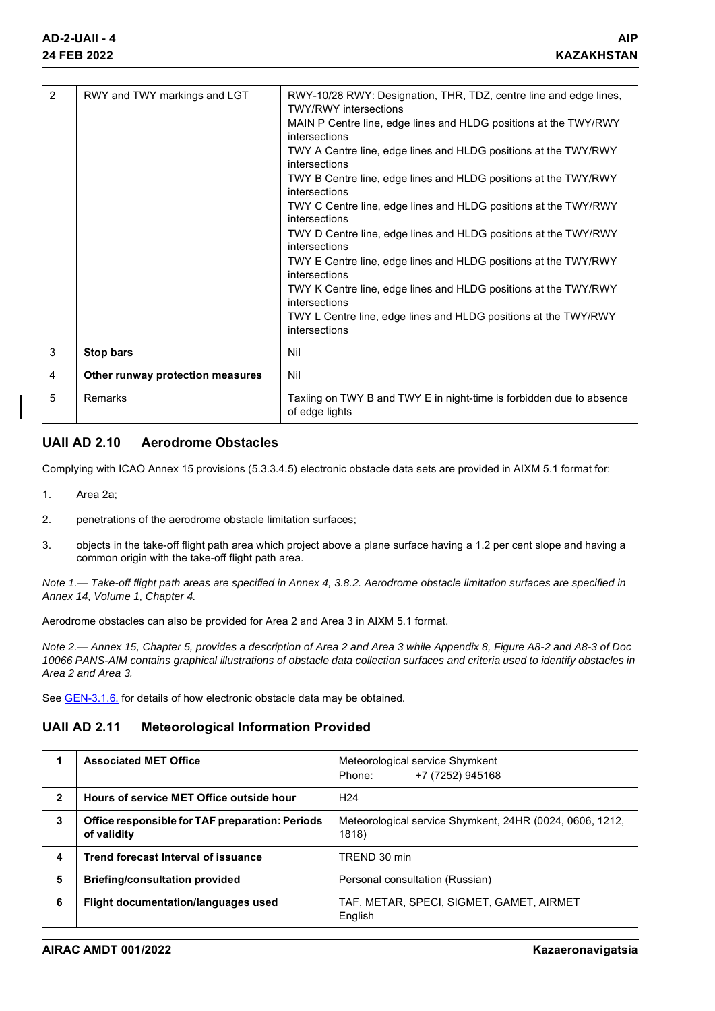| 2 | RWY and TWY markings and LGT     | RWY-10/28 RWY: Designation, THR, TDZ, centre line and edge lines,<br><b>TWY/RWY</b> intersections |
|---|----------------------------------|---------------------------------------------------------------------------------------------------|
|   |                                  | MAIN P Centre line, edge lines and HLDG positions at the TWY/RWY<br>intersections                 |
|   |                                  | TWY A Centre line, edge lines and HLDG positions at the TWY/RWY<br>intersections                  |
|   |                                  | TWY B Centre line, edge lines and HLDG positions at the TWY/RWY<br>intersections                  |
|   |                                  | TWY C Centre line, edge lines and HLDG positions at the TWY/RWY<br>intersections                  |
|   |                                  | TWY D Centre line, edge lines and HLDG positions at the TWY/RWY<br>intersections                  |
|   |                                  | TWY E Centre line, edge lines and HLDG positions at the TWY/RWY<br>intersections                  |
|   |                                  | TWY K Centre line, edge lines and HLDG positions at the TWY/RWY<br>intersections                  |
|   |                                  | TWY L Centre line, edge lines and HLDG positions at the TWY/RWY<br>intersections                  |
| 3 | <b>Stop bars</b>                 | Nil                                                                                               |
| 4 | Other runway protection measures | Nil                                                                                               |
| 5 | Remarks                          | Taxiing on TWY B and TWY E in night-time is forbidden due to absence<br>of edge lights            |

### **UAII AD 2.10 Aerodrome Obstacles**

Complying with ICAO Annex 15 provisions (5.3.3.4.5) electronic obstacle data sets are provided in AIXM 5.1 format for:

- 1. Area 2a;
- 2. penetrations of the aerodrome obstacle limitation surfaces;
- 3. objects in the take-off flight path area which project above a plane surface having a 1.2 per cent slope and having a common origin with the take-off flight path area.

*Note 1.— Take-off flight path areas are specified in Annex 4, 3.8.2. Aerodrome obstacle limitation surfaces are specified in Annex 14, Volume 1, Chapter 4.*

Aerodrome obstacles can also be provided for Area 2 and Area 3 in AIXM 5.1 format.

*Note 2.— Annex 15, Chapter 5, provides a description of Area 2 and Area 3 while Appendix 8, Figure A8-2 and A8-3 of Doc 10066 PANS-AIM contains graphical illustrations of obstacle data collection surfaces and criteria used to identify obstacles in Area 2 and Area 3.*

See **GEN-3.1.6.** for details of how electronic obstacle data may be obtained.

### **UAII AD 2.11 Meteorological Information Provided**

|              | <b>Associated MET Office</b>                                   | Meteorological service Shymkent<br>+7 (7252) 945168<br>Phone:     |
|--------------|----------------------------------------------------------------|-------------------------------------------------------------------|
| $\mathbf{2}$ | Hours of service MET Office outside hour                       | H <sub>24</sub>                                                   |
| 3            | Office responsible for TAF preparation: Periods<br>of validity | Meteorological service Shymkent, 24HR (0024, 0606, 1212,<br>1818) |
| 4            | Trend forecast Interval of issuance                            | TREND 30 min                                                      |
| 5            | <b>Briefing/consultation provided</b>                          | Personal consultation (Russian)                                   |
| 6            | Flight documentation/languages used                            | TAF, METAR, SPECI, SIGMET, GAMET, AIRMET<br>English               |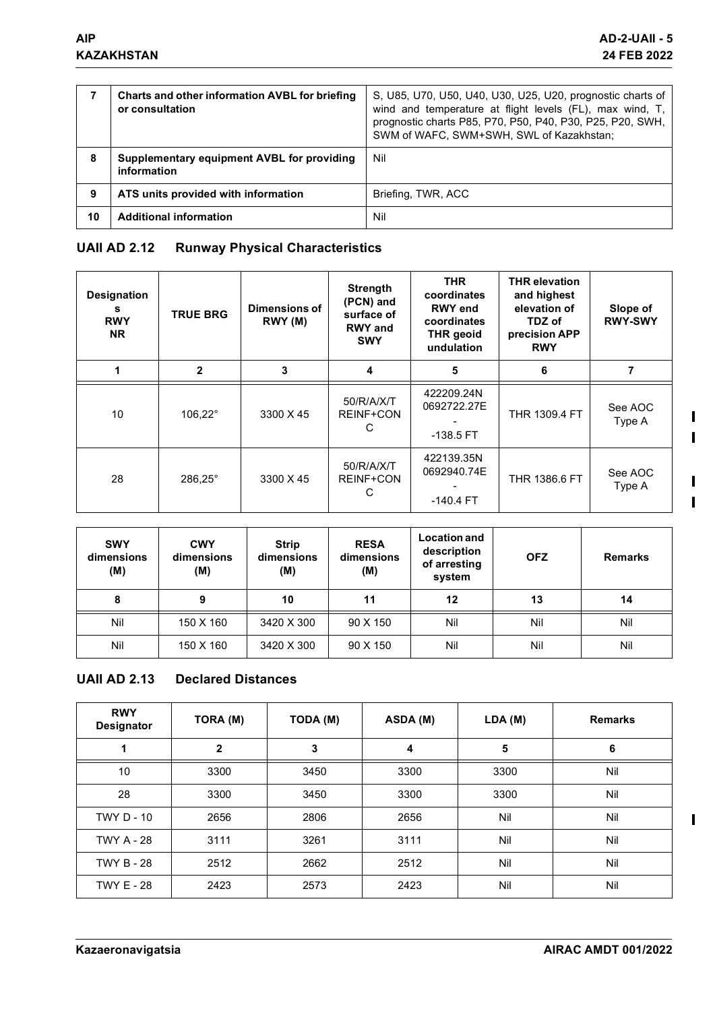|    | Charts and other information AVBL for briefing<br>or consultation | S, U85, U70, U50, U40, U30, U25, U20, prognostic charts of<br>wind and temperature at flight levels (FL), max wind, T,<br>prognostic charts P85, P70, P50, P40, P30, P25, P20, SWH,<br>SWM of WAFC, SWM+SWH, SWL of Kazakhstan; |
|----|-------------------------------------------------------------------|---------------------------------------------------------------------------------------------------------------------------------------------------------------------------------------------------------------------------------|
| 8  | Supplementary equipment AVBL for providing<br>information         | Nil                                                                                                                                                                                                                             |
| 9  | ATS units provided with information                               | Briefing, TWR, ACC                                                                                                                                                                                                              |
| 10 | <b>Additional information</b>                                     | Nil                                                                                                                                                                                                                             |

# **UAII AD 2.12 Runway Physical Characteristics**

| <b>Designation</b><br>s<br><b>RWY</b><br><b>NR</b> | <b>TRUE BRG</b>  | Dimensions of<br>RWY (M) | <b>Strength</b><br>(PCN) and<br>surface of<br><b>RWY</b> and<br><b>SWY</b> | <b>THR</b><br>coordinates<br><b>RWY</b> end<br>coordinates<br><b>THR</b> geoid<br>undulation | <b>THR elevation</b><br>and highest<br>elevation of<br>TDZ of<br>precision APP<br><b>RWY</b> | Slope of<br><b>RWY-SWY</b> |
|----------------------------------------------------|------------------|--------------------------|----------------------------------------------------------------------------|----------------------------------------------------------------------------------------------|----------------------------------------------------------------------------------------------|----------------------------|
|                                                    | $\mathbf{2}$     | 3                        | 4                                                                          | 5                                                                                            | 6                                                                                            |                            |
| 10                                                 | $106.22^{\circ}$ | 3300 X 45                | 50/R/A/X/T<br><b>REINF+CON</b><br>С                                        | 422209.24N<br>0692722.27E<br>$-138.5$ FT                                                     | <b>THR 1309.4 FT</b>                                                                         | See AOC<br>Type A          |
| 28                                                 | 286,25°          | 3300 X 45                | 50/R/A/X/T<br><b>REINF+CON</b><br>С                                        | 422139.35N<br>0692940.74E<br>$-140.4$ FT                                                     | THR 1386.6 FT                                                                                | See AOC<br>Type A          |

| <b>SWY</b><br>dimensions<br>(M) | <b>CWY</b><br>dimensions<br>(M) | <b>Strip</b><br>dimensions<br>(M) | <b>RESA</b><br>dimensions<br>(M) | <b>Location and</b><br>description<br>of arresting<br>system | <b>OFZ</b> | <b>Remarks</b> |
|---------------------------------|---------------------------------|-----------------------------------|----------------------------------|--------------------------------------------------------------|------------|----------------|
| 8                               | 9                               | 10                                | 11                               | 12                                                           | 13         | 14             |
| Nil                             | 150 X 160                       | 3420 X 300                        | 90 X 150                         | Nil                                                          | Nil        | Nil            |
| Nil                             | 150 X 160                       | 3420 X 300                        | 90 X 150                         | Nil                                                          | Nil        | Nil            |

## **UAII AD 2.13 Declared Distances**

| <b>RWY</b><br><b>Designator</b> | TORA (M)     | TODA (M) | ASDA (M) | LDA(M) | <b>Remarks</b> |
|---------------------------------|--------------|----------|----------|--------|----------------|
|                                 | $\mathbf{2}$ | 3        | 4        | 5      | 6              |
| 10                              | 3300         | 3450     | 3300     | 3300   | Nil            |
| 28                              | 3300         | 3450     | 3300     | 3300   | Nil            |
| <b>TWY D - 10</b>               | 2656         | 2806     | 2656     | Nil    | Nil            |
| <b>TWY A - 28</b>               | 3111         | 3261     | 3111     | Nil    | Nil            |
| <b>TWY B - 28</b>               | 2512         | 2662     | 2512     | Nil    | Nil            |
| <b>TWY E - 28</b>               | 2423         | 2573     | 2423     | Nil    | Nil            |

 $\overline{\phantom{a}}$  $\overline{\phantom{a}}$ 

 $\overline{\phantom{a}}$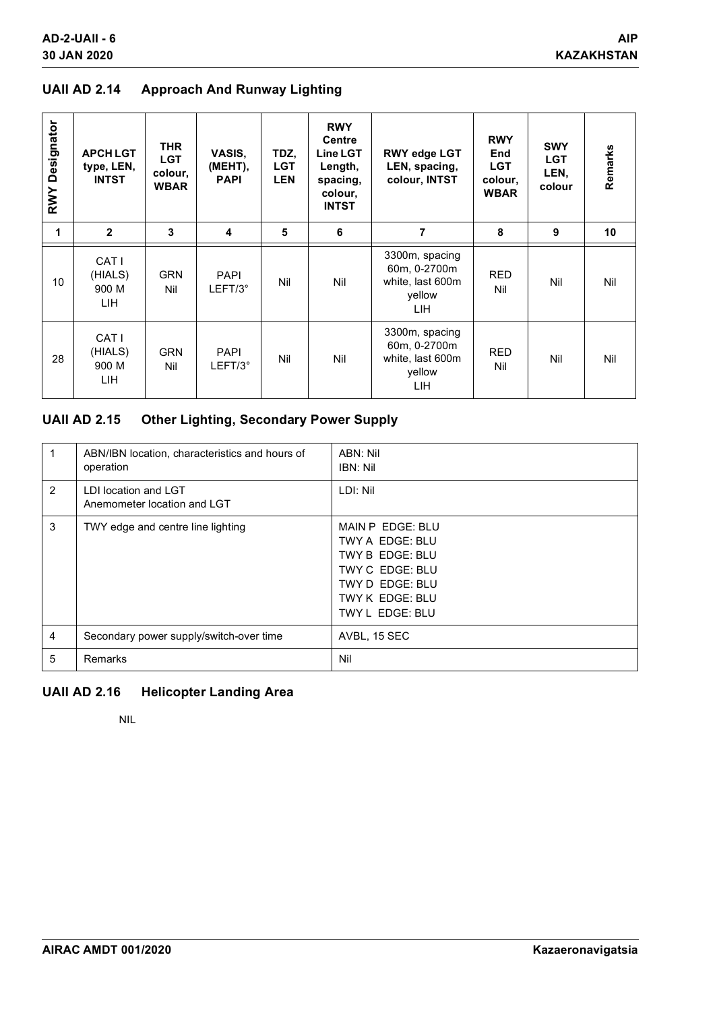### **UAII AD 2.14 Approach And Runway Lighting**

| <b>RWY Designator</b> | <b>APCH LGT</b><br>type, LEN,<br><b>INTST</b> | <b>THR</b><br><b>LGT</b><br>colour,<br><b>WBAR</b> | VASIS,<br>(MEHT),<br><b>PAPI</b> | TDZ,<br><b>LGT</b><br><b>LEN</b> | <b>RWY</b><br><b>Centre</b><br>Line LGT<br>Length,<br>spacing,<br>colour,<br><b>INTST</b> | <b>RWY edge LGT</b><br>LEN, spacing,<br>colour, INTST               | <b>RWY</b><br><b>End</b><br><b>LGT</b><br>colour,<br><b>WBAR</b> | <b>SWY</b><br><b>LGT</b><br>LEN,<br>colour | Remarks |
|-----------------------|-----------------------------------------------|----------------------------------------------------|----------------------------------|----------------------------------|-------------------------------------------------------------------------------------------|---------------------------------------------------------------------|------------------------------------------------------------------|--------------------------------------------|---------|
| 1                     | $\mathbf{2}$                                  | 3                                                  | 4                                | 5                                | 6                                                                                         | 7                                                                   | 8                                                                | 9                                          | 10      |
| 10                    | CAT I<br>(HIALS)<br>900 M<br>LIH.             | <b>GRN</b><br>Nil                                  | <b>PAPI</b><br>$LEFT/3^\circ$    | Nil                              | Nil                                                                                       | 3300m, spacing<br>60m, 0-2700m<br>white, last 600m<br>yellow<br>LIH | <b>RED</b><br>Nil                                                | Nil                                        | Nil     |
| 28                    | CAT I<br>(HIALS)<br>900 M<br>LIH.             | <b>GRN</b><br>Nil                                  | <b>PAPI</b><br>LEFT/3°           | Nil                              | Nil                                                                                       | 3300m, spacing<br>60m, 0-2700m<br>white, last 600m<br>yellow<br>LIH | <b>RED</b><br>Nil                                                | Nil                                        | Nil     |

# **UAII AD 2.15 Other Lighting, Secondary Power Supply**

| 1              | ABN/IBN location, characteristics and hours of<br>operation | ABN: Nil<br>IBN: Nil                                                                                                               |
|----------------|-------------------------------------------------------------|------------------------------------------------------------------------------------------------------------------------------------|
| 2              | LDI location and LGT<br>Anemometer location and LGT         | LDI: Nil                                                                                                                           |
| 3              | TWY edge and centre line lighting                           | MAIN P EDGE: BLU<br>TWY A EDGE: BLU<br>TWY B EDGE: BLU<br>TWY C EDGE: BLU<br>TWY D EDGE: BLU<br>TWY K EDGE: BLU<br>TWY L EDGE: BLU |
| $\overline{4}$ | Secondary power supply/switch-over time                     | AVBL, 15 SEC                                                                                                                       |
| 5              | Remarks                                                     | Nil                                                                                                                                |

### **UAII AD 2.16 Helicopter Landing Area**

NIL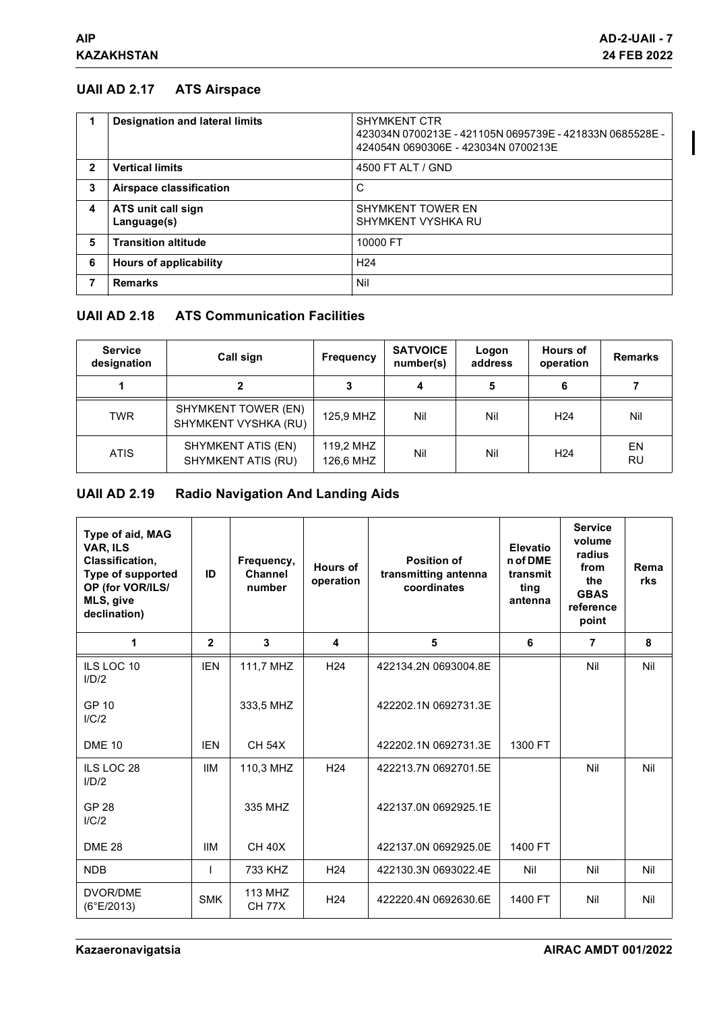## **UAII AD 2.17 ATS Airspace**

|              | <b>Designation and lateral limits</b> | <b>SHYMKENT CTR</b><br>423034N 0700213E - 421105N 0695739E - 421833N 0685528E -<br>424054N 0690306E - 423034N 0700213E |
|--------------|---------------------------------------|------------------------------------------------------------------------------------------------------------------------|
| $\mathbf{2}$ | <b>Vertical limits</b>                | 4500 FT ALT / GND                                                                                                      |
| 3            | <b>Airspace classification</b>        | С                                                                                                                      |
| 4            | ATS unit call sign<br>Language(s)     | <b>SHYMKENT TOWER EN</b><br>SHYMKENT VYSHKA RU                                                                         |
| 5            | <b>Transition altitude</b>            | 10000 FT                                                                                                               |
| 6            | <b>Hours of applicability</b>         | H <sub>24</sub>                                                                                                        |
| 7            | <b>Remarks</b>                        | Nil                                                                                                                    |

## **UAII AD 2.18 ATS Communication Facilities**

| <b>Service</b><br>designation | Call sign                                       | <b>Frequency</b>       | <b>SATVOICE</b><br>number(s) | Logon<br>address | <b>Hours of</b><br>operation | <b>Remarks</b> |
|-------------------------------|-------------------------------------------------|------------------------|------------------------------|------------------|------------------------------|----------------|
|                               | 2                                               |                        |                              | 5                | 6                            |                |
| TWR                           | SHYMKENT TOWER (EN)<br>SHYMKENT VYSHKA (RU)     | 125.9 MHZ              | Nil                          | Nil              | H <sub>24</sub>              | Nil            |
| <b>ATIS</b>                   | SHYMKENT ATIS (EN)<br><b>SHYMKENT ATIS (RU)</b> | 119,2 MHZ<br>126,6 MHZ | Nil                          | Nil              | H <sub>24</sub>              | EN<br>RU       |

# **UAII AD 2.19 Radio Navigation And Landing Aids**

| Type of aid, MAG<br>VAR, ILS<br>Classification,<br>Type of supported<br>OP (for VOR/ILS/<br>MLS, give<br>declination) | ID           | Frequency,<br>Channel<br>number | Hours of<br>operation | <b>Position of</b><br>transmitting antenna<br>coordinates | Elevatio<br>n of DME<br>transmit<br>ting<br>antenna | <b>Service</b><br>volume<br>radius<br>from<br>the<br><b>GBAS</b><br>reference<br>point | Rema<br>rks |
|-----------------------------------------------------------------------------------------------------------------------|--------------|---------------------------------|-----------------------|-----------------------------------------------------------|-----------------------------------------------------|----------------------------------------------------------------------------------------|-------------|
| 1                                                                                                                     | $\mathbf{2}$ | 3                               | 4                     | 5                                                         | 6                                                   | $\overline{7}$                                                                         | 8           |
| ILS LOC 10<br>I/D/2                                                                                                   | <b>IEN</b>   | 111,7 MHZ                       | H <sub>24</sub>       | 422134.2N 0693004.8E                                      |                                                     | Nil                                                                                    | Nil         |
| GP 10<br>I/C/2                                                                                                        |              | 333,5 MHZ                       |                       | 422202.1N 0692731.3E                                      |                                                     |                                                                                        |             |
| <b>DME 10</b>                                                                                                         | <b>IEN</b>   | <b>CH 54X</b>                   |                       | 422202.1N 0692731.3E                                      | 1300 FT                                             |                                                                                        |             |
| ILS LOC 28<br>I/D/2                                                                                                   | <b>IIM</b>   | 110,3 MHZ                       | H <sub>24</sub>       | 422213.7N 0692701.5E                                      |                                                     | Nil                                                                                    | Nil         |
| <b>GP 28</b><br>I/C/2                                                                                                 |              | 335 MHZ                         |                       | 422137.0N 0692925.1E                                      |                                                     |                                                                                        |             |
| <b>DME 28</b>                                                                                                         | ШM           | <b>CH 40X</b>                   |                       | 422137.0N 0692925.0E                                      | 1400 FT                                             |                                                                                        |             |
| <b>NDB</b>                                                                                                            |              | 733 KHZ                         | H <sub>24</sub>       | 422130.3N 0693022.4E                                      | Nil                                                 | Nil                                                                                    | Nil         |
| DVOR/DME<br>(6°E/2013)                                                                                                | <b>SMK</b>   | 113 MHZ<br><b>CH 77X</b>        | H <sub>24</sub>       | 422220.4N 0692630.6E                                      | 1400 FT                                             | Nil                                                                                    | Nil         |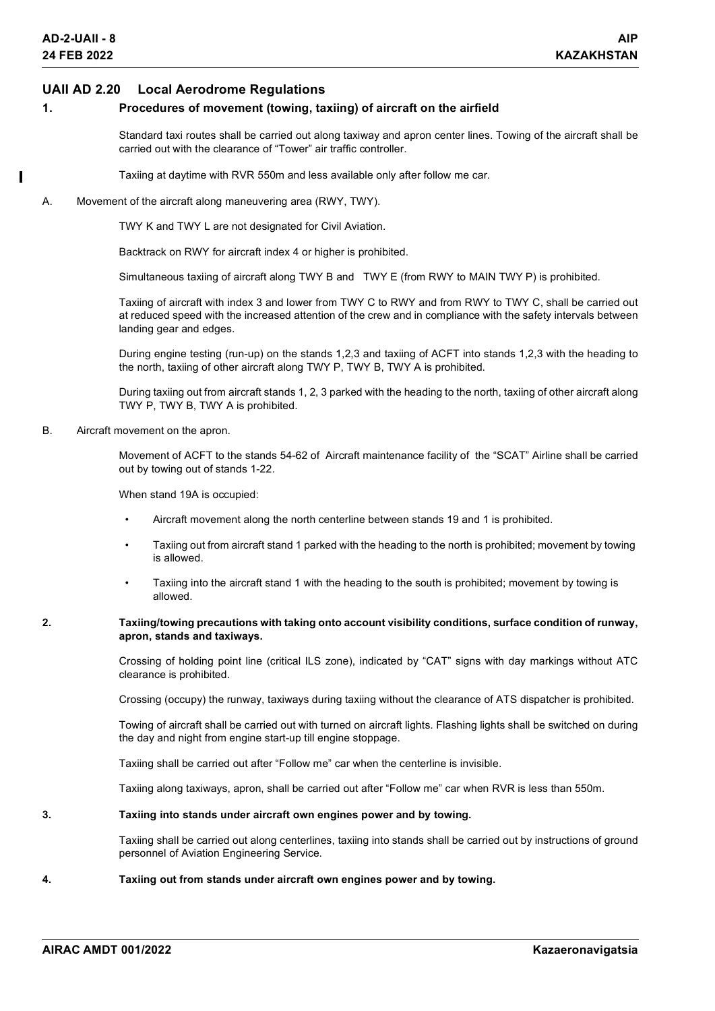#### **UAII AD 2.20 Local Aerodrome Regulations**

#### **1. Procedures of movement (towing, taxiing) of aircraft on the airfield**

Standard taxi routes shall be carried out along taxiway and apron center lines. Towing of the aircraft shall be carried out with the clearance of "Tower" air traffic controller.

Taxiing at daytime with RVR 550m and less available only after follow me car.

A. Movement of the aircraft along maneuvering area (RWY, TWY).

TWY K and TWY L are not designated for Civil Aviation.

Backtrack on RWY for aircraft index 4 or higher is prohibited.

Simultaneous taxiing of aircraft along TWY B and TWY E (from RWY to MAIN TWY P) is prohibited.

Taxiing of aircraft with index 3 and lower from TWY C to RWY and from RWY to TWY C, shall be carried out at reduced speed with the increased attention of the crew and in compliance with the safety intervals between landing gear and edges.

During engine testing (run-up) on the stands 1,2,3 and taxiing of ACFT into stands 1,2,3 with the heading to the north, taxiing of other aircraft along TWY P, TWY B, TWY A is prohibited.

During taxiing out from aircraft stands 1, 2, 3 parked with the heading to the north, taxiing of other aircraft along TWY P, TWY B, TWY A is prohibited.

B. Aircraft movement on the apron.

Movement of ACFT to the stands 54-62 of Aircraft maintenance facility of the "SCAT" Airline shall be carried out by towing out of stands 1-22.

When stand 19A is occupied:

- Aircraft movement along the north centerline between stands 19 and 1 is prohibited.
- Taxiing out from aircraft stand 1 parked with the heading to the north is prohibited; movement by towing is allowed.
- Taxiing into the aircraft stand 1 with the heading to the south is prohibited; movement by towing is allowed.
- **2. Taxiing/towing precautions with taking onto account visibility conditions, surface condition of runway, apron, stands and taxiways.**

Crossing of holding point line (critical ILS zone), indicated by "CAT" signs with day markings without ATC clearance is prohibited.

Crossing (occupy) the runway, taxiways during taxiing without the clearance of ATS dispatcher is prohibited.

Towing of aircraft shall be carried out with turned on aircraft lights. Flashing lights shall be switched on during the day and night from engine start-up till engine stoppage.

Taxiing shall be carried out after "Follow me" car when the centerline is invisible.

Taxiing along taxiways, apron, shall be carried out after "Follow me" car when RVR is less than 550m.

#### **3. Taxiing into stands under aircraft own engines power and by towing.**

Taxiing shall be carried out along centerlines, taxiing into stands shall be carried out by instructions of ground personnel of Aviation Engineering Service.

#### **4. Taxiing out from stands under aircraft own engines power and by towing.**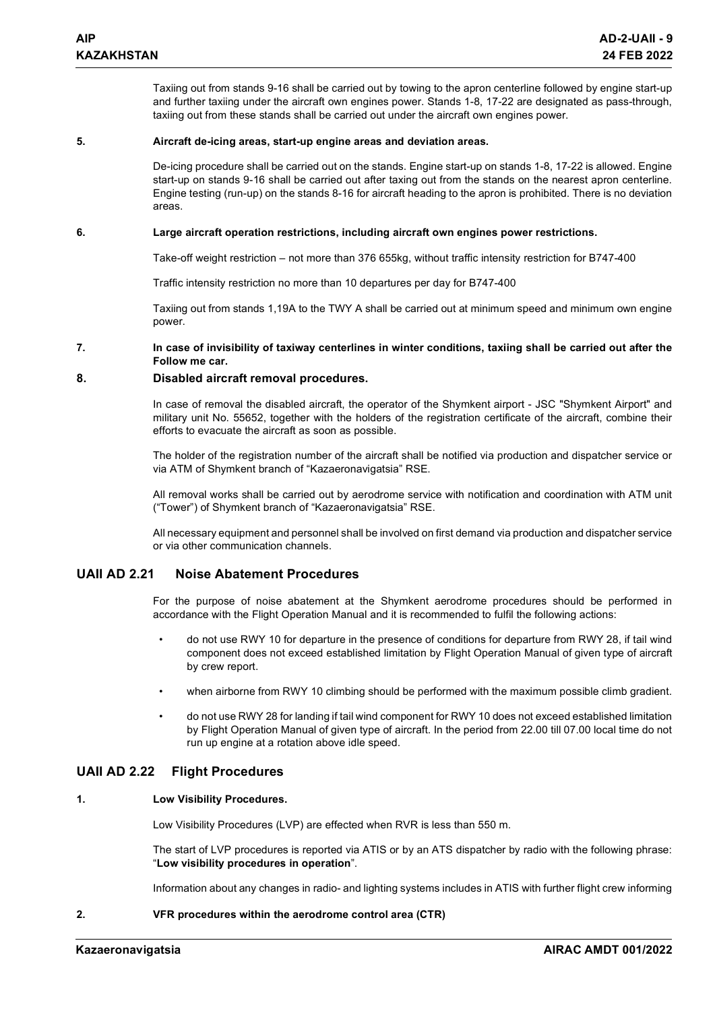Taxiing out from stands 9-16 shall be carried out by towing to the apron centerline followed by engine start-up and further taxiing under the aircraft own engines power. Stands 1-8, 17-22 are designated as pass-through, taxiing out from these stands shall be carried out under the aircraft own engines power.

#### **5. Aircraft de-icing areas, start-up engine areas and deviation areas.**

De-icing procedure shall be carried out on the stands. Engine start-up on stands 1-8, 17-22 is allowed. Engine start-up on stands 9-16 shall be carried out after taxing out from the stands on the nearest apron centerline. Engine testing (run-up) on the stands 8-16 for aircraft heading to the apron is prohibited. There is no deviation areas.

#### **6. Large aircraft operation restrictions, including aircraft own engines power restrictions.**

Take-off weight restriction – not more than 376 655kg, without traffic intensity restriction for B747-400

Traffic intensity restriction no more than 10 departures per day for B747-400

Taxiing out from stands 1,19A to the TWY A shall be carried out at minimum speed and minimum own engine power.

#### **7. In case of invisibility of taxiway centerlines in winter conditions, taxiing shall be carried out after the Follow me car.**

#### **8. Disabled aircraft removal procedures.**

In case of removal the disabled aircraft, the operator of the Shymkent airport - JSC "Shymkent Airport" and military unit No. 55652, together with the holders of the registration certificate of the aircraft, combine their efforts to evacuate the aircraft as soon as possible.

The holder of the registration number of the aircraft shall be notified via production and dispatcher service or via ATM of Shymkent branch of "Kazaeronavigatsia" RSE.

All removal works shall be carried out by aerodrome service with notification and coordination with ATM unit ("Tower") of Shymkent branch of "Kazaeronavigatsia" RSE.

All necessary equipment and personnel shall be involved on first demand via production and dispatcher service or via other communication channels.

### **UAII AD 2.21 Noise Abatement Procedures**

For the purpose of noise abatement at the Shymkent aerodrome procedures should be performed in accordance with the Flight Operation Manual and it is recommended to fulfil the following actions:

- do not use RWY 10 for departure in the presence of conditions for departure from RWY 28, if tail wind component does not exceed established limitation by Flight Operation Manual of given type of aircraft by crew report.
- when airborne from RWY 10 climbing should be performed with the maximum possible climb gradient.
- do not use RWY 28 for landing if tail wind component for RWY 10 does not exceed established limitation by Flight Operation Manual of given type of aircraft. In the period from 22.00 till 07.00 local time do not run up engine at a rotation above idle speed.

### **UAII AD 2.22 Flight Procedures**

#### **1. Low Visibility Procedures.**

Low Visibility Procedures (LVP) are effected when RVR is less than 550 m.

The start of LVP procedures is reported via ATIS or by an ATS dispatcher by radio with the following phrase: "**Low visibility procedures in operation**".

Information about any changes in radio- and lighting systems includes in ATIS with further flight crew informing

#### **2. VFR procedures within the aerodrome control area (CTR)**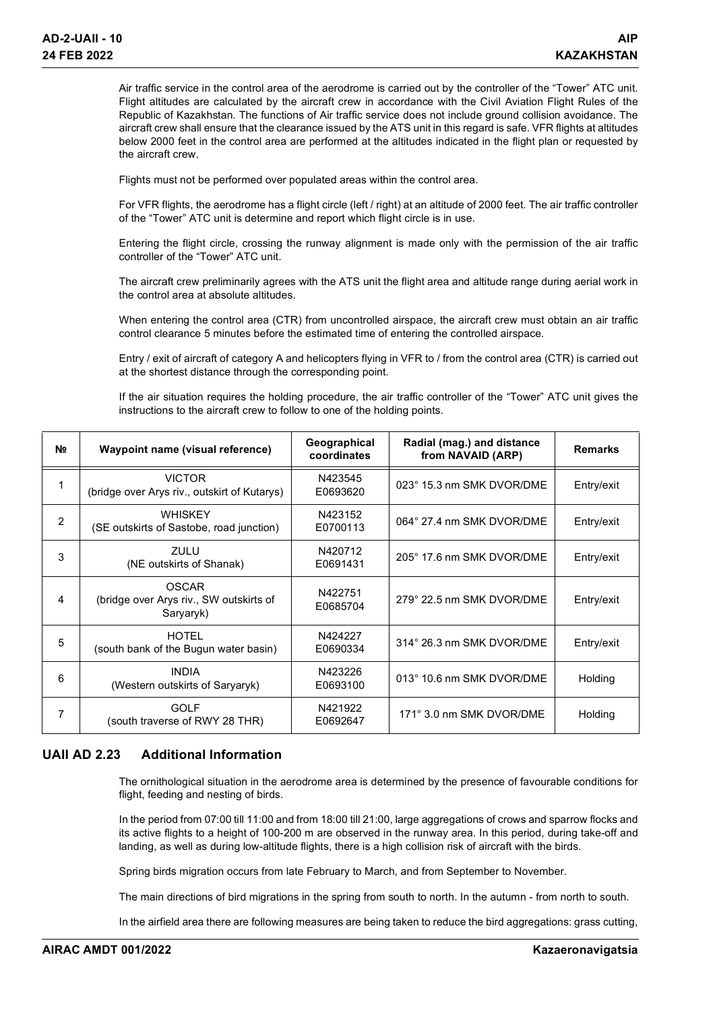Air traffic service in the control area of the aerodrome is carried out by the controller of the "Tower" ATC unit. Flight altitudes are calculated by the aircraft crew in accordance with the Civil Aviation Flight Rules of the Republic of Kazakhstan. The functions of Air traffic service does not include ground collision avoidance. The aircraft crew shall ensure that the clearance issued by the ATS unit in this regard is safe. VFR flights at altitudes below 2000 feet in the control area are performed at the altitudes indicated in the flight plan or requested by the aircraft crew.

Flights must not be performed over populated areas within the control area.

For VFR flights, the aerodrome has a flight circle (left / right) at an altitude of 2000 feet. The air traffic controller of the "Tower" ATC unit is determine and report which flight circle is in use.

Entering the flight circle, crossing the runway alignment is made only with the permission of the air traffic controller of the "Tower" ATC unit.

The aircraft crew preliminarily agrees with the ATS unit the flight area and altitude range during aerial work in the control area at absolute altitudes.

When entering the control area (CTR) from uncontrolled airspace, the aircraft crew must obtain an air traffic control clearance 5 minutes before the estimated time of entering the controlled airspace.

Entry / exit of aircraft of category A and helicopters flying in VFR to / from the control area (CTR) is carried out at the shortest distance through the corresponding point.

If the air situation requires the holding procedure, the air traffic controller of the "Tower" ATC unit gives the instructions to the aircraft crew to follow to one of the holding points.

| N∘ | Waypoint name (visual reference)                                     | Geographical<br>coordinates | Radial (mag.) and distance<br>from NAVAID (ARP) | <b>Remarks</b> |
|----|----------------------------------------------------------------------|-----------------------------|-------------------------------------------------|----------------|
|    | <b>VICTOR</b><br>(bridge over Arys riv., outskirt of Kutarys)        | N423545<br>E0693620         | 023° 15.3 nm SMK DVOR/DME                       | Entry/exit     |
| 2  | <b>WHISKEY</b><br>(SE outskirts of Sastobe, road junction)           | N423152<br>E0700113         | 064° 27.4 nm SMK DVOR/DME                       | Entry/exit     |
| 3  | ZULU<br>(NE outskirts of Shanak)                                     | N420712<br>E0691431         | 205° 17.6 nm SMK DVOR/DME                       | Entry/exit     |
| 4  | <b>OSCAR</b><br>(bridge over Arys riv., SW outskirts of<br>Saryaryk) | N422751<br>E0685704         | 279° 22.5 nm SMK DVOR/DME                       | Entry/exit     |
| 5  | <b>HOTEL</b><br>(south bank of the Bugun water basin)                | N424227<br>E0690334         | 314° 26.3 nm SMK DVOR/DME                       | Entry/exit     |
| 6  | <b>INDIA</b><br>(Western outskirts of Saryaryk)                      | N423226<br>E0693100         | 013° 10.6 nm SMK DVOR/DME                       | Holding        |
| 7  | <b>GOLF</b><br>(south traverse of RWY 28 THR)                        | N421922<br>E0692647         | 171° 3.0 nm SMK DVOR/DME                        | Holding        |

### **UAII AD 2.23 Additional Information**

The ornithological situation in the aerodrome area is determined by the presence of favourable conditions for flight, feeding and nesting of birds.

In the period from 07:00 till 11:00 and from 18:00 till 21:00, large aggregations of crows and sparrow flocks and its active flights to a height of 100-200 m are observed in the runway area. In this period, during take-off and landing, as well as during low-altitude flights, there is a high collision risk of aircraft with the birds.

Spring birds migration occurs from late February to March, and from September to November.

The main directions of bird migrations in the spring from south to north. In the autumn - from north to south.

In the airfield area there are following measures are being taken to reduce the bird aggregations: grass cutting,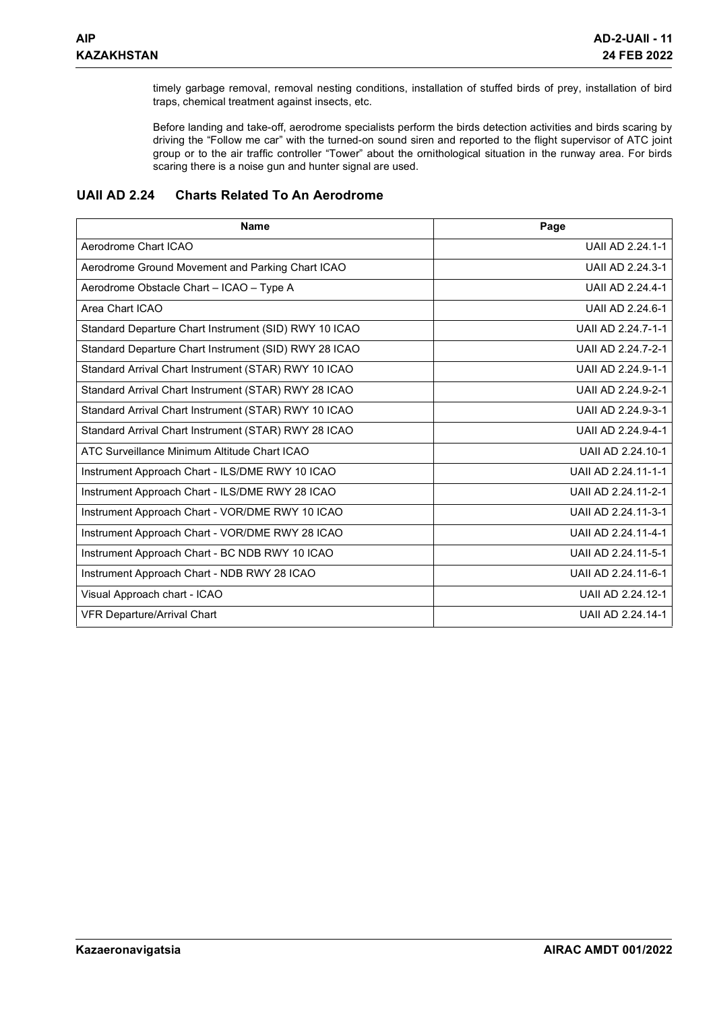timely garbage removal, removal nesting conditions, installation of stuffed birds of prey, installation of bird traps, chemical treatment against insects, etc.

Before landing and take-off, aerodrome specialists perform the birds detection activities and birds scaring by driving the "Follow me car" with the turned-on sound siren and reported to the flight supervisor of ATC joint group or to the air traffic controller "Tower" about the ornithological situation in the runway area. For birds scaring there is a noise gun and hunter signal are used.

### **UAII AD 2.24 Charts Related To An Aerodrome**

| <b>Name</b>                                           | Page                |
|-------------------------------------------------------|---------------------|
| Aerodrome Chart ICAO                                  | UAII AD 2.24.1-1    |
| Aerodrome Ground Movement and Parking Chart ICAO      | UAII AD 2.24.3-1    |
| Aerodrome Obstacle Chart - ICAO - Type A              | UAII AD 2.24.4-1    |
| Area Chart ICAO                                       | UAII AD 2.24.6-1    |
| Standard Departure Chart Instrument (SID) RWY 10 ICAO | UAII AD 2.24.7-1-1  |
| Standard Departure Chart Instrument (SID) RWY 28 ICAO | UAII AD 2.24.7-2-1  |
| Standard Arrival Chart Instrument (STAR) RWY 10 ICAO  | UAII AD 2.24.9-1-1  |
| Standard Arrival Chart Instrument (STAR) RWY 28 ICAO  | UAII AD 2.24.9-2-1  |
| Standard Arrival Chart Instrument (STAR) RWY 10 ICAO  | UAII AD 2.24.9-3-1  |
| Standard Arrival Chart Instrument (STAR) RWY 28 ICAO  | UAII AD 2.24.9-4-1  |
| ATC Surveillance Minimum Altitude Chart ICAO          | UAII AD 2.24.10-1   |
| Instrument Approach Chart - ILS/DME RWY 10 ICAO       | UAII AD 2.24.11-1-1 |
| Instrument Approach Chart - ILS/DME RWY 28 ICAO       | UAII AD 2.24.11-2-1 |
| Instrument Approach Chart - VOR/DME RWY 10 ICAO       | UAII AD 2.24.11-3-1 |
| Instrument Approach Chart - VOR/DME RWY 28 ICAO       | UAII AD 2.24.11-4-1 |
| Instrument Approach Chart - BC NDB RWY 10 ICAO        | UAII AD 2.24.11-5-1 |
| Instrument Approach Chart - NDB RWY 28 ICAO           | UAII AD 2.24.11-6-1 |
| Visual Approach chart - ICAO                          | UAII AD 2.24.12-1   |
| <b>VFR Departure/Arrival Chart</b>                    | UAII AD 2.24.14-1   |